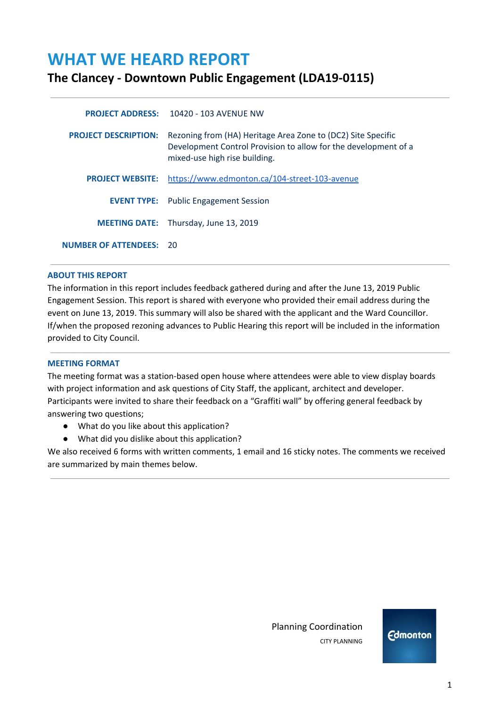# **WHAT WE HEARD REPORT**

# **The Clancey - Downtown Public Engagement (LDA19-0115)**

|                                | <b>PROJECT ADDRESS: 10420 - 103 AVENUE NW</b>                                                                                                                    |
|--------------------------------|------------------------------------------------------------------------------------------------------------------------------------------------------------------|
| <b>PROJECT DESCRIPTION:</b>    | Rezoning from (HA) Heritage Area Zone to (DC2) Site Specific<br>Development Control Provision to allow for the development of a<br>mixed-use high rise building. |
|                                | <b>PROJECT WEBSITE:</b> https://www.edmonton.ca/104-street-103-avenue                                                                                            |
|                                | <b>EVENT TYPE:</b> Public Engagement Session                                                                                                                     |
|                                | <b>MEETING DATE:</b> Thursday, June 13, 2019                                                                                                                     |
| <b>NUMBER OF ATTENDEES: 20</b> |                                                                                                                                                                  |

# **ABOUT THIS REPORT**

The information in this report includes feedback gathered during and after the June 13, 2019 Public Engagement Session. This report is shared with everyone who provided their email address during the event on June 13, 2019. This summary will also be shared with the applicant and the Ward Councillor. If/when the proposed rezoning advances to Public Hearing this report will be included in the information provided to City Council.

#### **MEETING FORMAT**

The meeting format was a station-based open house where attendees were able to view display boards with project information and ask questions of City Staff, the applicant, architect and developer. Participants were invited to share their feedback on a "Graffiti wall" by offering general feedback by answering two questions;

- What do you like about this application?
- What did you dislike about this application?

We also received 6 forms with written comments, 1 email and 16 sticky notes. The comments we received are summarized by main themes below.

> Planning Coordination CITY PLANNING

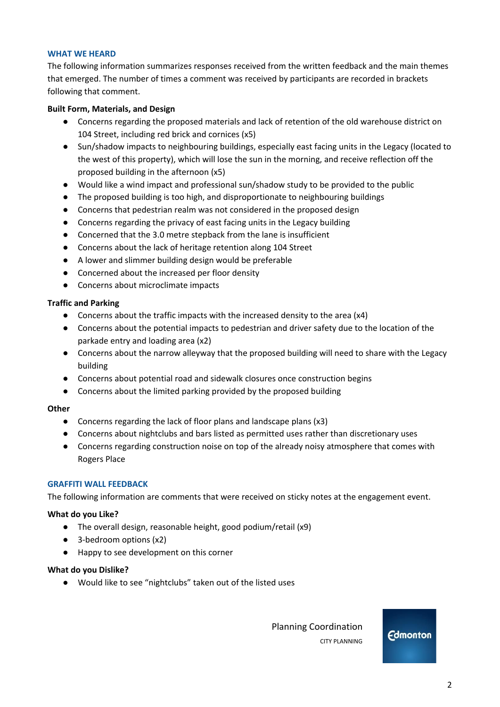# **WHAT WE HEARD**

The following information summarizes responses received from the written feedback and the main themes that emerged. The number of times a comment was received by participants are recorded in brackets following that comment.

## **Built Form, Materials, and Design**

- Concerns regarding the proposed materials and lack of retention of the old warehouse district on 104 Street, including red brick and cornices (x5)
- Sun/shadow impacts to neighbouring buildings, especially east facing units in the Legacy (located to the west of this property), which will lose the sun in the morning, and receive reflection off the proposed building in the afternoon (x5)
- Would like a wind impact and professional sun/shadow study to be provided to the public
- The proposed building is too high, and disproportionate to neighbouring buildings
- Concerns that pedestrian realm was not considered in the proposed design
- Concerns regarding the privacy of east facing units in the Legacy building
- Concerned that the 3.0 metre stepback from the lane is insufficient
- Concerns about the lack of heritage retention along 104 Street
- A lower and slimmer building design would be preferable
- Concerned about the increased per floor density
- Concerns about microclimate impacts

# **Traffic and Parking**

- Concerns about the traffic impacts with the increased density to the area (x4)
- Concerns about the potential impacts to pedestrian and driver safety due to the location of the parkade entry and loading area (x2)
- Concerns about the narrow alleyway that the proposed building will need to share with the Legacy building
- Concerns about potential road and sidewalk closures once construction begins
- Concerns about the limited parking provided by the proposed building

#### **Other**

- Concerns regarding the lack of floor plans and landscape plans (x3)
- Concerns about nightclubs and bars listed as permitted uses rather than discretionary uses
- Concerns regarding construction noise on top of the already noisy atmosphere that comes with Rogers Place

#### **GRAFFITI WALL FEEDBACK**

The following information are comments that were received on sticky notes at the engagement event.

# **What do you Like?**

- **●** The overall design, reasonable height, good podium/retail (x9)
- 3-bedroom options (x2)
- Happy to see development on this corner

#### **What do you Dislike?**

● Would like to see "nightclubs" taken out of the listed uses

 Planning Coordination CITY PLANNING